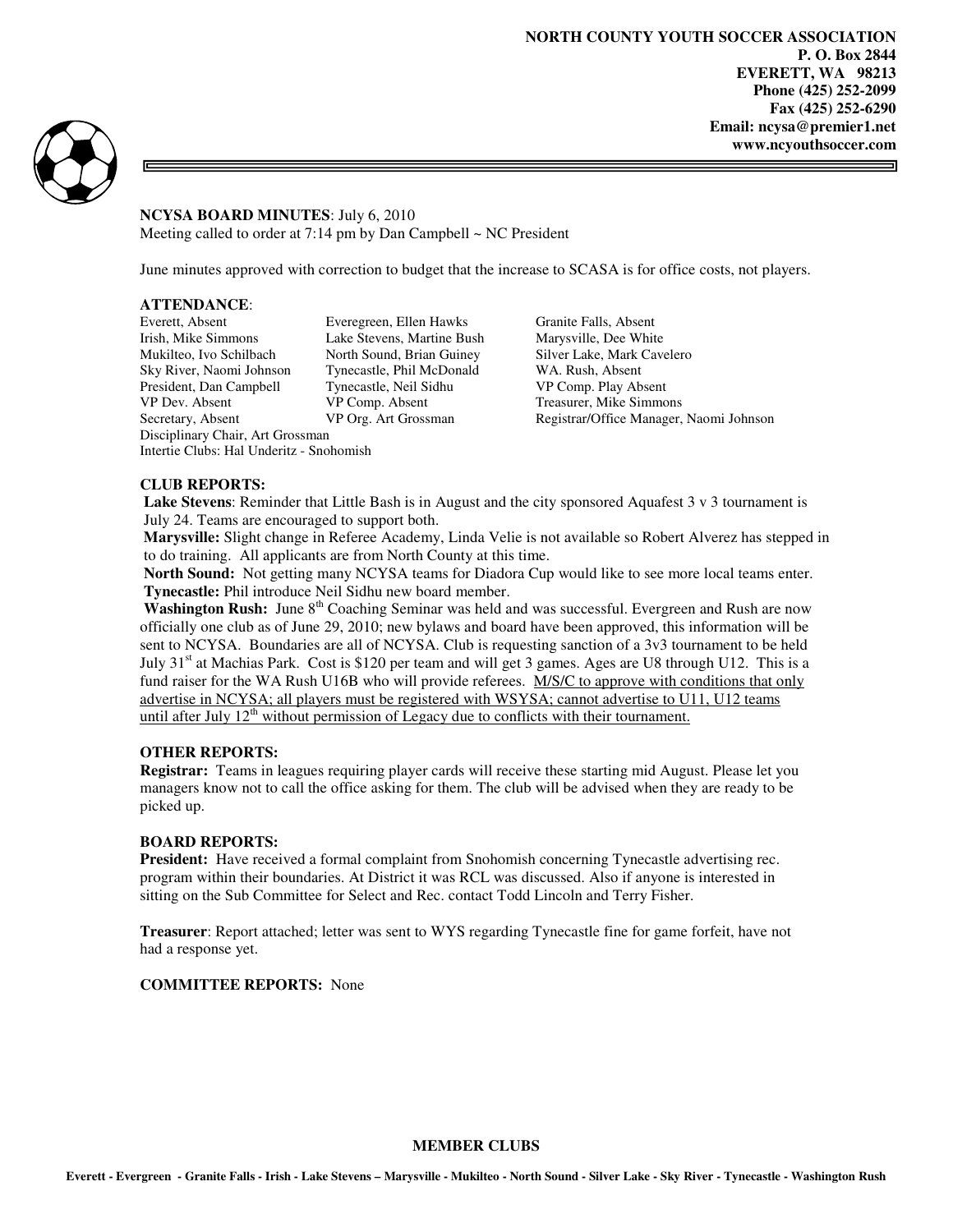⋾



# **NCYSA BOARD MINUTES**: July 6, 2010

Meeting called to order at 7:14 pm by Dan Campbell  $\sim$  NC President

June minutes approved with correction to budget that the increase to SCASA is for office costs, not players.

# **ATTENDANCE**:

Everett, Absent Everegreen, Ellen Hawks Granite Falls, Absent Irish, Mike Simmons Lake Stevens, Martine Bush Marysville, Dee White<br>Mukilteo, Ivo Schilbach North Sound, Brian Guiney Silver Lake, Mark Cave Sky River, Naomi Johnson Tynecastle, Phil McDonald WA. Rush, Absent President, Dan Campbell Tynecastle, Neil Sidhu VP Comp. Play Absent<br>
VP Dev. Absent VP Comp. Absent Treasurer, Mike Simmo Secretary, Absent VP Org. Art Grossman Registrar/Office Manager, Naomi Johnson Disciplinary Chair, Art Grossman Intertie Clubs: Hal Underitz - Snohomish

North Sound, Brian Guiney Silver Lake, Mark Cavelero Treasurer, Mike Simmons

### **CLUB REPORTS:**

 **Lake Stevens**: Reminder that Little Bash is in August and the city sponsored Aquafest 3 v 3 tournament is July 24. Teams are encouraged to support both.

 **Marysville:** Slight change in Referee Academy, Linda Velie is not available so Robert Alverez has stepped in to do training. All applicants are from North County at this time.

 **North Sound:** Not getting many NCYSA teams for Diadora Cup would like to see more local teams enter. **Tynecastle:** Phil introduce Neil Sidhu new board member.

**Washington Rush:** June 8th Coaching Seminar was held and was successful. Evergreen and Rush are now officially one club as of June 29, 2010; new bylaws and board have been approved, this information will be sent to NCYSA. Boundaries are all of NCYSA. Club is requesting sanction of a 3v3 tournament to be held July  $31<sup>st</sup>$  at Machias Park. Cost is \$120 per team and will get 3 games. Ages are U8 through U12. This is a fund raiser for the WA Rush U16B who will provide referees. M/S/C to approve with conditions that only advertise in NCYSA; all players must be registered with WSYSA; cannot advertise to U11, U12 teams until after July  $12<sup>th</sup>$  without permission of Legacy due to conflicts with their tournament.

## **OTHER REPORTS:**

**Registrar:** Teams in leagues requiring player cards will receive these starting mid August. Please let you managers know not to call the office asking for them. The club will be advised when they are ready to be picked up.

#### **BOARD REPORTS:**

**President:** Have received a formal complaint from Snohomish concerning Tynecastle advertising rec. program within their boundaries. At District it was RCL was discussed. Also if anyone is interested in sitting on the Sub Committee for Select and Rec. contact Todd Lincoln and Terry Fisher.

**Treasurer**: Report attached; letter was sent to WYS regarding Tynecastle fine for game forfeit, have not had a response yet.

### **COMMITTEE REPORTS:** None